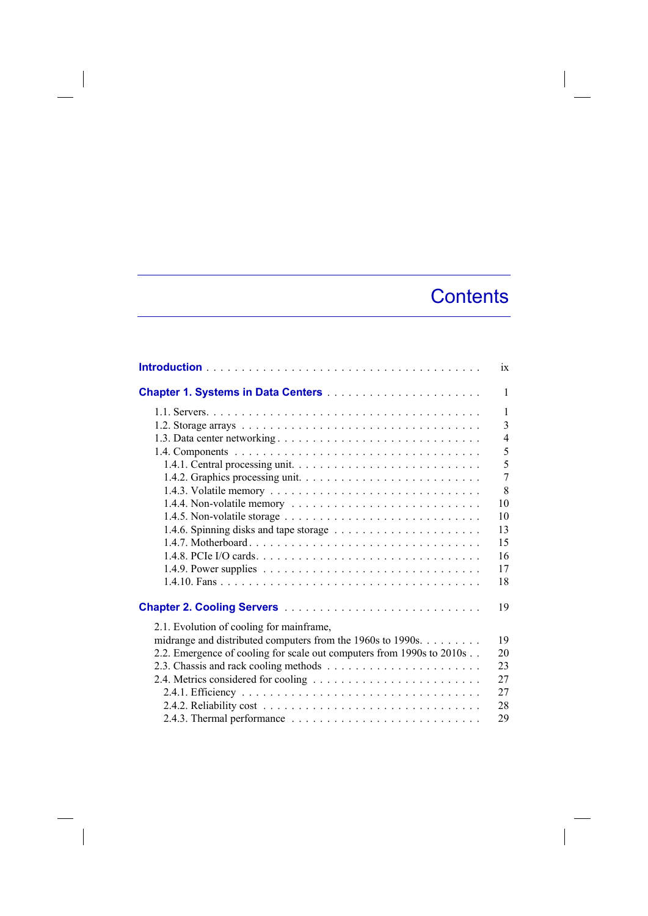## **Contents**

|                                                                                                | ix             |
|------------------------------------------------------------------------------------------------|----------------|
|                                                                                                | $\mathbf{1}$   |
|                                                                                                | $\mathbf{1}$   |
|                                                                                                | $\overline{3}$ |
|                                                                                                | $\overline{4}$ |
|                                                                                                | 5              |
|                                                                                                | 5              |
|                                                                                                | $\overline{7}$ |
|                                                                                                | 8              |
| 1.4.4. Non-volatile memory $\dots \dots \dots \dots \dots \dots \dots \dots \dots \dots \dots$ | 10             |
|                                                                                                | 10             |
|                                                                                                | 13             |
|                                                                                                | 15             |
|                                                                                                | 16             |
|                                                                                                | 17             |
|                                                                                                | 18             |
|                                                                                                | 19             |
| 2.1. Evolution of cooling for mainframe,                                                       |                |
| midrange and distributed computers from the 1960s to 1990s.                                    | 19             |
| 2.2. Emergence of cooling for scale out computers from 1990s to 2010s                          | 20             |
|                                                                                                | 23             |
|                                                                                                | 27             |
|                                                                                                | 27             |
|                                                                                                | 28             |
|                                                                                                | 29             |

 $\overline{\phantom{a}}$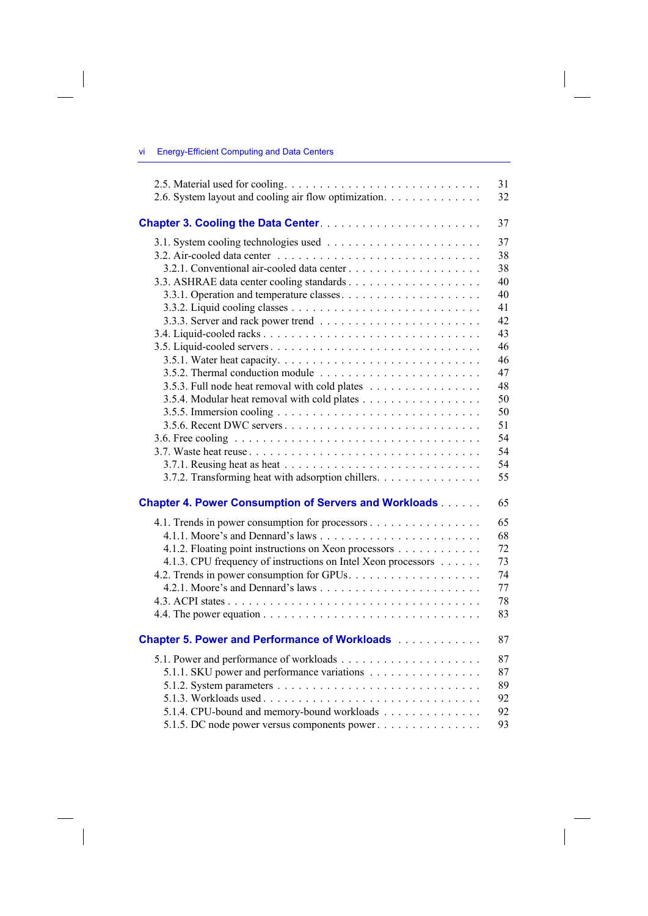## vi Energy-Efficient Computing and Data Centers

 $\overline{\phantom{a}}$ 

 $\overline{\phantom{a}}$ 

|                                                               | 31 |
|---------------------------------------------------------------|----|
| 2.6. System layout and cooling air flow optimization.         | 32 |
| Chapter 3. Cooling the Data Center.                           | 37 |
|                                                               | 37 |
|                                                               | 38 |
|                                                               | 38 |
|                                                               | 40 |
|                                                               | 40 |
|                                                               | 41 |
|                                                               | 42 |
|                                                               | 43 |
|                                                               | 46 |
|                                                               | 46 |
|                                                               | 47 |
| 3.5.3. Full node heat removal with cold plates                | 48 |
|                                                               | 50 |
|                                                               | 50 |
|                                                               | 51 |
|                                                               | 54 |
|                                                               | 54 |
|                                                               | 54 |
| 3.7.2. Transforming heat with adsorption chillers.            | 55 |
| <b>Chapter 4. Power Consumption of Servers and Workloads</b>  | 65 |
| 4.1. Trends in power consumption for processors               | 65 |
|                                                               | 68 |
| 4.1.2. Floating point instructions on Xeon processors         | 72 |
| 4.1.3. CPU frequency of instructions on Intel Xeon processors | 73 |
|                                                               | 74 |
|                                                               | 77 |
|                                                               | 78 |
|                                                               | 83 |
| <b>Chapter 5. Power and Performance of Workloads</b>          | 87 |
|                                                               | 87 |
| 5.1.1. SKU power and performance variations                   | 87 |
|                                                               | 89 |
|                                                               | 92 |
| 5.1.4. CPU-bound and memory-bound workloads                   | 92 |
| 5.1.5. DC node power versus components power                  | 93 |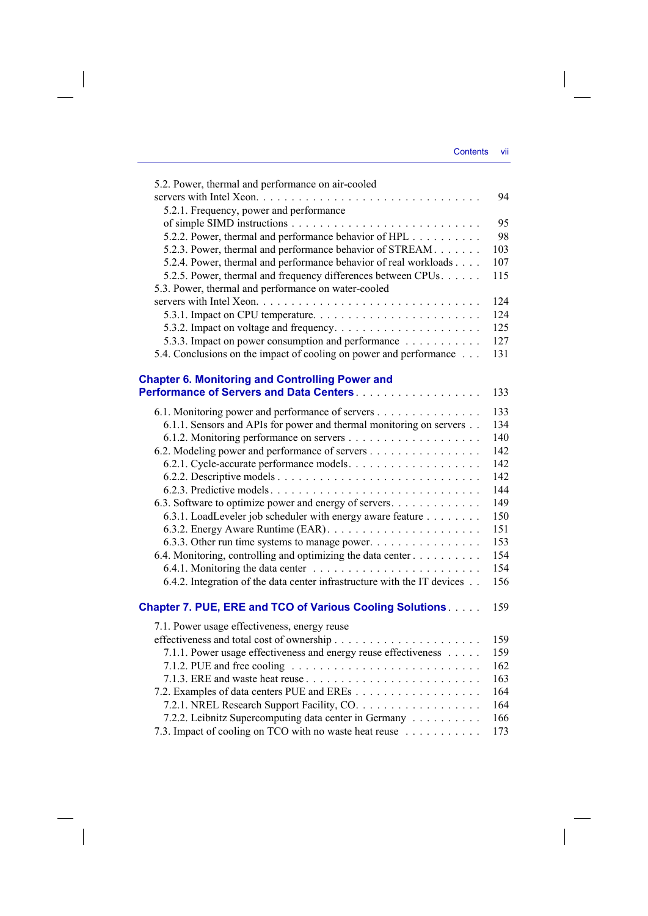$\bigg\}$ 

| 5.2. Power, thermal and performance on air-cooled                                            |     |
|----------------------------------------------------------------------------------------------|-----|
|                                                                                              | 94  |
| 5.2.1. Frequency, power and performance                                                      |     |
|                                                                                              | 95  |
| 5.2.2. Power, thermal and performance behavior of HPL                                        | 98  |
| 5.2.3. Power, thermal and performance behavior of STREAM                                     | 103 |
| 5.2.4. Power, thermal and performance behavior of real workloads                             | 107 |
| 5.2.5. Power, thermal and frequency differences between CPUs.                                | 115 |
| 5.3. Power, thermal and performance on water-cooled                                          |     |
|                                                                                              | 124 |
|                                                                                              | 124 |
|                                                                                              | 125 |
| 5.3.3. Impact on power consumption and performance                                           | 127 |
| 5.4. Conclusions on the impact of cooling on power and performance                           | 131 |
|                                                                                              |     |
| <b>Chapter 6. Monitoring and Controlling Power and</b>                                       |     |
| Performance of Servers and Data Centers.                                                     | 133 |
| 6.1. Monitoring power and performance of servers                                             | 133 |
| 6.1.1. Sensors and APIs for power and thermal monitoring on servers                          | 134 |
|                                                                                              | 140 |
| 6.2. Modeling power and performance of servers                                               | 142 |
|                                                                                              | 142 |
|                                                                                              | 142 |
|                                                                                              | 144 |
| 6.3. Software to optimize power and energy of servers.                                       | 149 |
| 6.3.1. LoadLeveler job scheduler with energy aware feature                                   | 150 |
|                                                                                              | 151 |
| 6.3.3. Other run time systems to manage power.                                               | 153 |
| 6.4. Monitoring, controlling and optimizing the data center                                  | 154 |
|                                                                                              | 154 |
| 6.4.2. Integration of the data center infrastructure with the IT devices                     | 156 |
| <b>Chapter 7. PUE, ERE and TCO of Various Cooling Solutions</b>                              | 159 |
|                                                                                              |     |
| 7.1. Power usage effectiveness, energy reuse                                                 |     |
|                                                                                              | 159 |
| 7.1.1. Power usage effectiveness and energy reuse effectiveness                              | 159 |
| 7.1.2. PUE and free cooling $\ldots \ldots \ldots \ldots \ldots \ldots \ldots \ldots \ldots$ | 162 |
|                                                                                              | 163 |
|                                                                                              | 164 |
|                                                                                              | 164 |
| 7.2.2. Leibnitz Supercomputing data center in Germany                                        | 166 |
| 7.3. Impact of cooling on TCO with no waste heat reuse                                       | 173 |

 $\overline{\phantom{a}}$ 

 $\begin{array}{c} \hline \end{array}$